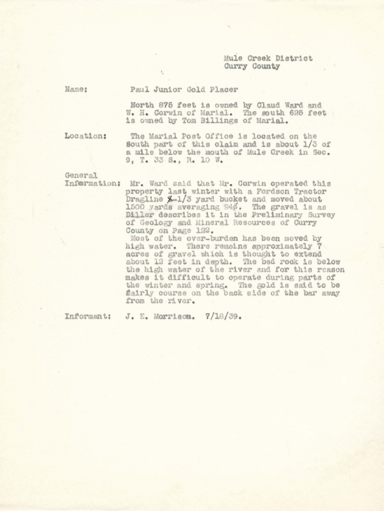## Mule Creek District Curry County

Name:

## Paul Junior Gold Placer

North 875 feet is owned by Claud Ward and W. H. Corwin of Marial. The south 625 feet is owned by Tom Billings of Marial.

Location:

The Marial Post Office is located on the South part of this claim and is about 1/3 of a mile below the mouth of Mule Creek in Sec. 9. T. 33 S., R. 10 W.

General

Information: Mr. Ward said that Mr. Corwin operated this property last winter with a Fordson Tractor Dragline X-1/3 yard bucket and moved about 1500 yards averaging 24%. The gravel is as<br>Diller describes it in the Preliminary Survey of Geology and Mineral Resources of Curry County on Page 122.

Most of the over-burden has been moved by high water. There remains approximately 7 acres of gravel which is thought to extend about 12 feet in depth. The bed rock is below the high water of the river and for this reason makes it difficult to operate during parts of the winter and spring. The gold is said to be fairly course on the back side of the bar away from the river.

Informant: J. E. Morrisom. 7/18/39.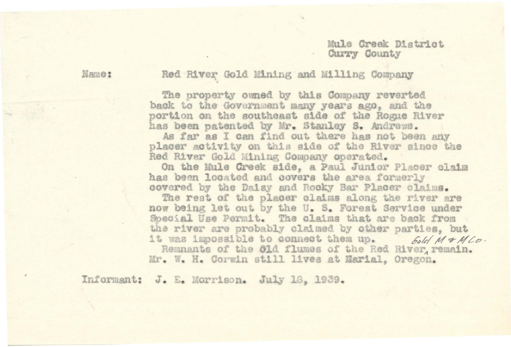## Mule Creek District Curry County

Name:

Red River Gold Mining and Milling Company

The property owned by this Company reverted back to the Government many years ago, and the portion on the southeast side of the Rogue River has been patented by Mr. Stanley S. Andrews.

As far as I can find out there has not been any placer activity on this side of the River since the Red River Gold Mining Company operated.

On the Mule Creek side, a Paul Junior Placer claim has been located and covers the area formerly covered by the Dalsy and Rocky Bar Placer claims.

The rest of the placer claims along the river are now being let out by the U. S. Forest Service under Special Use Permit. The claims that are back from the river are probably claimed by other parties, but it was impossible to connect them up. bold M & M Co. Remnants of the Old flumes of the Red River, remain. Mr. W. H. Corwin still lives at Marial, Oregon.

Informant: J. E. Morrison. July 18, 1939.